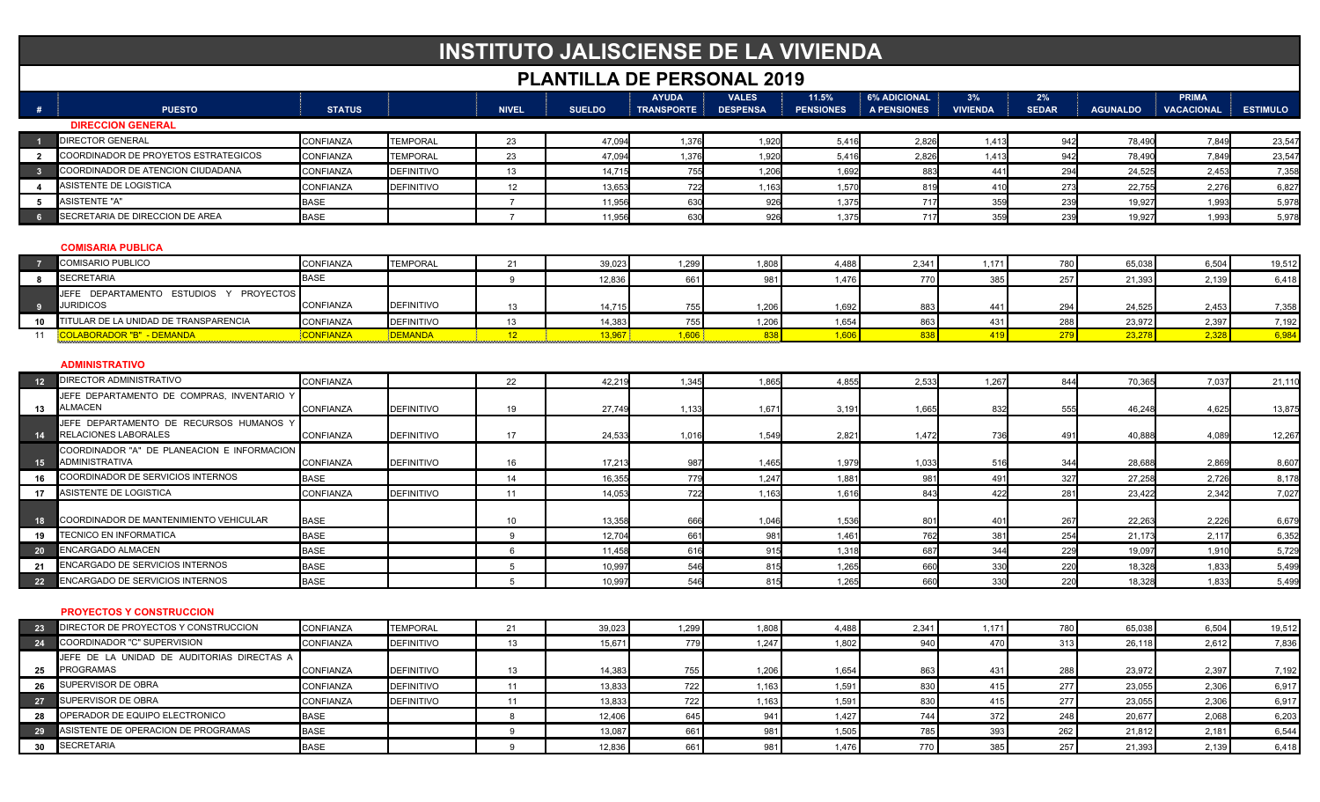# **INSTITUTO JALISCIENSE DE LA VIVIENDA**

## **PLANTILLA DE PERSONAL 2019**

|                |                                                                      |               |                   |                 | <u>I LANIILLA DL I</u> |                                   | LINUVINAL ZU IJ                 |                           |                                           |                       |                    |                 |                                   |                 |
|----------------|----------------------------------------------------------------------|---------------|-------------------|-----------------|------------------------|-----------------------------------|---------------------------------|---------------------------|-------------------------------------------|-----------------------|--------------------|-----------------|-----------------------------------|-----------------|
| #              | <b>PUESTO</b>                                                        | <b>STATUS</b> |                   | <b>NIVEL</b>    | <b>SUELDO</b>          | <b>AYUDA</b><br><b>TRANSPORTE</b> | <b>VALES</b><br><b>DESPENSA</b> | 11.5%<br><b>PENSIONES</b> | <b>6% ADICIONAL</b><br><b>A PENSIONES</b> | 3%<br><b>VIVIENDA</b> | 2%<br><b>SEDAR</b> | <b>AGUNALDO</b> | <b>PRIMA</b><br><b>VACACIONAL</b> | <b>ESTIMULO</b> |
|                | <b>DIRECCION GENERAL</b>                                             |               |                   |                 |                        |                                   |                                 |                           |                                           |                       |                    |                 |                                   |                 |
|                | DIRECTOR GENERAL                                                     | CONFIANZA     | <b>TEMPORAL</b>   | 23              | 47,094                 | 1,376                             | 1,920                           | 5,416                     | 2,826                                     | 1,413                 | 942                | 78,490          | 7,849                             | 23,54           |
| $\overline{2}$ | COORDINADOR DE PROYETOS ESTRATEGICOS                                 | CONFIANZA     | <b>TEMPORAL</b>   | 23              | 47,094                 | 1,376                             | 1,920                           | 5,416                     | 2,826                                     | 1,413                 | 942                | 78,49           | 7,849                             | 23,54           |
| $\mathbf{3}$   | COORDINADOR DE ATENCION CIUDADANA                                    | CONFIANZA     | <b>DEFINITIVO</b> | 13              | 14,71                  | 755                               | 1,206                           | 1,692                     | 883                                       | 44 <sup>′</sup>       | 294                | 24,52           | 2,453                             | 7,35            |
| $\overline{4}$ | <b>ASISTENTE DE LOGISTICA</b>                                        | CONFIANZA     | <b>DEFINITIVO</b> | 12              | 13,653                 | 722                               | 1,163                           | 1,570                     | 819                                       | 41 <sub>C</sub>       | 273                | 22,75           | 2,276                             | 6,827           |
| 5              | <b>ASISTENTE "A"</b>                                                 | <b>BASE</b>   |                   | $\overline{7}$  | 11,956                 | 630                               | 926                             | 1,375                     | 717                                       | 359                   | 239                | 19,92           | 1,993                             | 5,978           |
| 6              | SECRETARIA DE DIRECCION DE AREA                                      | <b>BASE</b>   |                   | $\overline{7}$  | 11.95                  | 630                               | 926                             | 1.375                     | 717                                       | 35 <sup>c</sup>       | 239                | 19.92           | 1.993                             | 5,978           |
|                | <b>COMISARIA PUBLICA</b>                                             |               |                   |                 |                        |                                   |                                 |                           |                                           |                       |                    |                 |                                   |                 |
|                | <b>COMISARIO PUBLICO</b>                                             | CONFIANZA     | <b>TEMPORAL</b>   | 21              | 39,023                 | 1,299                             | 1,808                           | 4,488                     | 2,341                                     | 1,171                 | 780                | 65,038          | 6,504                             | 19,512          |
| - 8            | <b>SECRETARIA</b>                                                    | <b>BASE</b>   |                   | $\mathbf{q}$    | 12.836                 | 661                               | 981                             | 1,476                     | 770                                       | 385                   | 257                | 21,393          | 2,139                             | 6,418           |
| - 9            | JEFE DEPARTAMENTO ESTUDIOS Y PROYECTOS<br><b>JURIDICOS</b>           | CONFIANZA     | <b>DEFINITIVO</b> | 13              | 14.715                 | 755                               | 1.206                           | 1.692                     | 883                                       | 441                   | 294                | 24.525          | 2.453                             | 7,358           |
| 10             | TITULAR DE LA UNIDAD DE TRANSPARENCIA                                | CONFIANZA     | <b>DEFINITIVO</b> | 13              | 14,383                 | 755                               | 1,206                           | 1,654                     | 863                                       | 431                   | 288                | 23,972          | 2,397                             | 7,192           |
| 11             | <b>COLABORADOR "B" - DEMANDA</b>                                     | CONFIANZA     | DEMANDA           | 12              | 13,967                 | 1,606                             | 836                             | 1,606                     | 838                                       | 419                   | 279                | 23,27           | 2,328                             | 6,984           |
|                | <b>ADMINISTRATIVO</b>                                                |               |                   |                 |                        |                                   |                                 |                           |                                           |                       |                    |                 |                                   |                 |
| 12             | <b>DIRECTOR ADMINISTRATIVO</b>                                       | CONFIANZA     |                   | 22              | 42,21                  | 1,345                             | 1,865                           | 4,855                     | 2,533                                     | 1,267                 | 844                | 70,36           | 7,037                             | 21,110          |
| 13             | JEFE DEPARTAMENTO DE COMPRAS, INVENTARIO Y<br><b>ALMACEN</b>         | CONFIANZA     | <b>DEFINITIVO</b> | 19              | 27,749                 | 1,133                             | 1,67'                           | 3,191                     | 1,665                                     | 832                   | 555                | 46,248          | 4,625                             | 13,875          |
| 14             | JEFE DEPARTAMENTO DE RECURSOS HUMANOS Y<br>RELACIONES LABORALES      | CONFIANZA     | <b>DEFINITIVO</b> | 17              | 24,533                 | 1,016                             | 1,549                           | 2,821                     | 1,472                                     | 736                   | 491                | 40,888          | 4,089                             | 12,267          |
| 15             | COORDINADOR "A" DE PLANEACION E INFORMACION<br><b>ADMINISTRATIVA</b> | CONFIANZA     | <b>DEFINITIVO</b> | 16              | 17,213                 | 987                               | 1,465                           | 1.979                     | 1,033                                     | 516                   | 344                | 28.68           | 2,869                             | 8,607           |
| 16             | COORDINADOR DE SERVICIOS INTERNOS                                    | <b>BASE</b>   |                   | 14              | 16,35                  | 779                               | 1,247                           | 1,881                     | 981                                       | 491                   | 327                | 27,25           | 2,726                             | 8,178           |
| 17             | <b>ASISTENTE DE LOGISTICA</b>                                        | CONFIANZA     | <b>DEFINITIVO</b> | 11              | 14,05                  | 722                               | 1,163                           | 1,616                     | 843                                       | 422                   | 281                | 23,42           | 2,342                             | 7,027           |
| 18             | COORDINADOR DE MANTENIMIENTO VEHICULAR                               | <b>BASE</b>   |                   | 10              | 13,358                 | 666                               | 1,046                           | 1.536                     | 80 <sup>2</sup>                           | 40 <sup>2</sup>       | 267                | 22.26           | 2,226                             | 6,67            |
| 19             | <b>TECNICO EN INFORMATICA</b>                                        | <b>BASE</b>   |                   | 9               | 12,704                 | 661                               | 981                             | 1,461                     | 762                                       | 38 <sup>2</sup>       | 254                | 21,17           | 2,117                             | 6,352           |
| 20             | <b>ENCARGADO ALMACEN</b>                                             | <b>BASE</b>   |                   | $\epsilon$      | 11,458                 | 616                               | 915                             | 1,318                     | 687                                       | 344                   | 229                | 19,09           | 1,910                             | 5,729           |
| 21             | ENCARGADO DE SERVICIOS INTERNOS                                      | <b>BASE</b>   |                   | $5^{\circ}$     | 10,99                  | 546                               | 815                             | 1,265                     | 660                                       | 330                   | 220                | 18,32           | 1,833                             | 5,49            |
| 22             | ENCARGADO DE SERVICIOS INTERNOS                                      | <b>BASE</b>   |                   | $5\overline{)}$ | 10.997                 | 546                               | 815                             | 1,265                     | 660                                       | 330                   | 220                | 18,328          | 1,833                             | 5,499           |
|                | <b>PROYECTOS Y CONSTRUCCION</b>                                      |               |                   |                 |                        |                                   |                                 |                           |                                           |                       |                    |                 |                                   |                 |
| 23             | DIRECTOR DE PROYECTOS Y CONSTRUCCION                                 | CONFIANZA     | <b>TEMPORAL</b>   | 21              | 39,023                 | 1,299                             | 1,808                           | 4,488                     | 2,341                                     | 1,171                 | 780                | 65,038          | 6,504                             | 19,512          |
| 24             | COORDINADOR "C" SUPERVISION                                          | CONFIANZA     | <b>DEFINITIVO</b> | 13              | 15,671                 | 779                               | 1,247                           | 1,802                     | 940                                       | 470                   | 313                | 26,118          | 2,612                             | 7,836           |
| 25             | JEFE DE LA UNIDAD DE AUDITORIAS DIRECTAS A<br><b>PROGRAMAS</b>       | CONFIANZA     | <b>DEFINITIVO</b> | 13              | 14,383                 | 755                               | 1,206                           | 1,654                     | 863                                       | 431                   | 288                | 23,972          | 2,397                             | 7,192           |
| 26             | SUPERVISOR DE OBRA                                                   | CONFIANZA     | <b>DEFINITIVO</b> | 11              | 13,833                 | 722                               | 1,163                           | 1,591                     | 830                                       | 415                   | 277                | 23,055          | 2,306                             | 6,917           |
| 27             | SUPERVISOR DE OBRA                                                   | CONFIANZA     | <b>DEFINITIVO</b> | 11              | 13,833                 | 722                               | 1,163                           | 1,591                     | 830                                       | 415                   | 277                | 23,055          | 2,306                             | 6,917           |
| 28             | OPERADOR DE EQUIPO ELECTRONICO                                       | <b>BASE</b>   |                   | 8               | 12,406                 | 645                               | 941                             | 1,427                     | 744                                       | 372                   | 248                | 20,67           | 2,068                             | 6,203           |
| 29             | ASISTENTE DE OPERACION DE PROGRAMAS                                  | <b>BASE</b>   |                   | 9               | 13.087                 | 661                               | 981                             | 1.505                     | 785                                       | 393                   | 262                | 21.81           | 2.181                             | 6,544           |
| 30             | <b>SECRETARIA</b>                                                    | <b>BASE</b>   |                   | $\mathbf{Q}$    | 12,836                 | 661                               | 981                             | 1.476                     | 770                                       | 385                   | 257                | 21,393          | 2,139                             | 6,418           |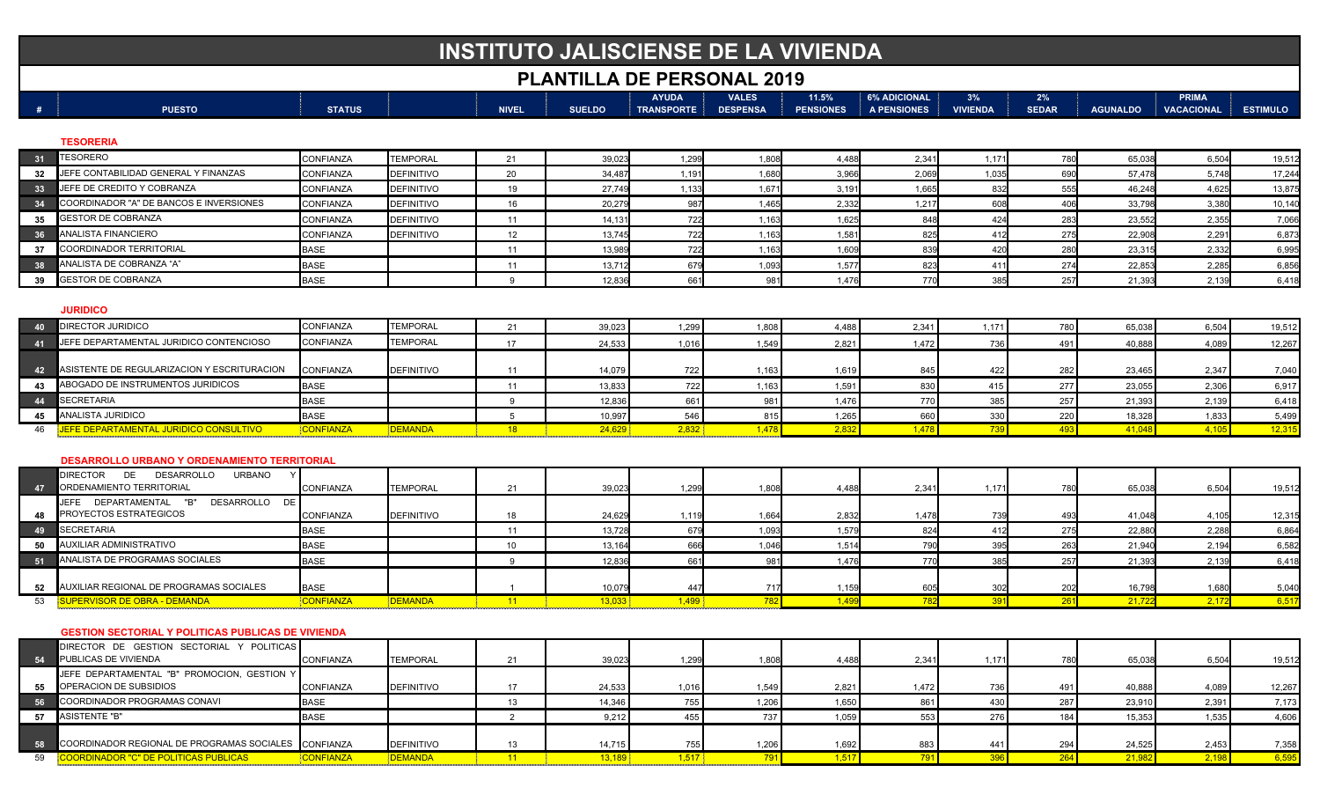# **INSTITUTO JALISCIENSE DE LA VIVIENDA**

### **PLANTILLA DE PERSONAL 2019**

|               |               |  |              |               | <b>AYUDA</b>      | <b>VALES</b>    | 11.5%            | <b>6% ADICIONAL</b> | 3%              | 2%           |                 | <b>PRIMA</b> |                 |  |
|---------------|---------------|--|--------------|---------------|-------------------|-----------------|------------------|---------------------|-----------------|--------------|-----------------|--------------|-----------------|--|
| <b>PUESTO</b> | <b>STATUS</b> |  | <b>NIVEL</b> | <b>SUELDO</b> | <b>TRANSPORTE</b> | <b>DESPENSA</b> | <b>PENSIONES</b> | A PENSIONES         | <b>VIVIENDA</b> | <b>SEDAR</b> | <b>AGUNALDO</b> | VACACIONAL   | <b>ESTIMULO</b> |  |
|               |               |  |              |               |                   |                 |                  |                     |                 |              |                 |              |                 |  |

#### **TESORERIA**

| 31              | <b>TESORERO</b>                                     | CONFIANZA        | <b>TEMPORAL</b>   | 21       | 39,023 | 1.299 | 1,808 | 4,488 | 2,341 | 1.17  | 780 | 65,038 | 6,504 | 19,512 |
|-----------------|-----------------------------------------------------|------------------|-------------------|----------|--------|-------|-------|-------|-------|-------|-----|--------|-------|--------|
| 32 <sup>2</sup> | JEFE CONTABILIDAD GENERAL Y FINANZAS                | <b>CONFIANZA</b> | <b>DEFINITIVO</b> | 20       | 34,487 | 1,191 | 1,680 | 3,966 | 2,069 | 1,035 | 690 | 57,478 | 5.748 | 17,244 |
| 33 <sup>2</sup> | JEFE DE CREDITO Y COBRANZA                          | <b>CONFIANZA</b> | <b>DEFINITIVO</b> | 19       | 27,749 | 1,133 | 1,67' | 3,191 | 1,665 | 832   | 555 | 46,248 | 4,625 | 13,87  |
|                 | COORDINADOR "A" DE BANCOS E INVERSIONES             | <b>CONFIANZA</b> | <b>DEFINITIVO</b> | 16       | 20,279 | 987   | 1,465 | 2,332 | 1,217 | 608   | 406 | 33,798 | 3,380 | 10,140 |
| 35 <sub>o</sub> | <b>GESTOR DE COBRANZA</b>                           | <b>CONFIANZA</b> | <b>DEFINITIVO</b> | 11       | 14,131 | 722   | 1.163 | 1,625 | 848   | 424   | 283 | 23,552 | 2,355 | 7,066  |
| 36 <sup>°</sup> | <b>ANALISTA FINANCIERO</b>                          | <b>CONFIANZA</b> | <b>DEFINITIVO</b> | 12       | 13.745 | 722   | 1.163 | 1,581 | 825   | 412   | 275 | 22,908 | 2,291 | 6,87   |
| 37              | <b>COORDINADOR TERRITORIAL</b>                      | <b>BASE</b>      |                   | 11       | 13,989 | 722   | 1.163 | 1,609 | 839   | 420   | 280 | 23,315 | 2,332 | 6,995  |
| 38              | ANALISTA DE COBRANZA "A"                            | <b>BASE</b>      |                   | 11       | 13,712 | 679   | 1,093 | 1.577 | 823   | 41'   | 274 | 22,853 | 2.285 | 6,856  |
| 39              | <b>GESTOR DE COBRANZA</b>                           | <b>BASE</b>      |                   | $\Omega$ | 12,836 | 661   | 981   | 1,476 | 770   | 385   | 257 | 21,393 | 2,139 | 6,418  |
|                 | <b>JURIDICO</b>                                     |                  |                   |          |        |       |       |       |       |       |     |        |       |        |
| 40              | DIRECTOR JURIDICO                                   | <b>CONFIANZA</b> | <b>TEMPORAL</b>   | 21       | 39,023 | 1,299 | 1,808 | 4,488 | 2,341 | 1.171 | 780 | 65,038 | 6,504 | 19,512 |
| 41              | JEFE DEPARTAMENTAL JURIDICO CONTENCIOSO             | <b>CONFIANZA</b> | <b>TEMPORAL</b>   | 17       | 24,533 | 1,016 | 1,549 | 2,821 | 1,472 | 736   | 491 | 40,888 | 4,089 | 12,267 |
| 42              | ASISTENTE DE REGULARIZACION Y ESCRITURACION         | <b>CONFIANZA</b> | <b>DEFINITIVO</b> | 11       | 14,079 | 722   | 1,163 | 1,619 | 845   | 422   | 282 | 23,465 | 2,347 | 7,040  |
|                 | 43 ABOGADO DE INSTRUMENTOS JURIDICOS                | <b>BASE</b>      |                   | 11       | 13,833 | 722   | 1,163 | 1,591 | 830   | 415   | 277 | 23,055 | 2,306 | 6,917  |
| 44              | SECRETARIA                                          | <b>BASE</b>      |                   |          | 12,836 | 661   | 981   | 1,476 | 770   | 385   | 257 | 21,393 | 2,139 | 6,418  |
|                 | 45 ANALISTA JURIDICO                                | <b>BASE</b>      |                   |          | 10,997 | 546   | 815   | 1,265 | 660   | 330   | 220 | 18,328 | 1,833 | 5,499  |
| 46              | JEFE DEPARTAMENTAL JURIDICO CONSULTIVO              | CONFIANZA        | <b>DEMANDA</b>    | 18       | 24,629 | 2,832 | 1,478 | 2,832 | 1.478 | 739   | 493 | 41,048 | 4,105 | 12,315 |
|                 |                                                     |                  |                   |          |        |       |       |       |       |       |     |        |       |        |
|                 | <b>DESARROLLO URBANO Y ORDENAMIENTO TERRITORIAL</b> |                  |                   |          |        |       |       |       |       |       |     |        |       |        |

| 47 | DIRECTOR<br>ᄕ<br><b>DESARROLLO</b><br>URBANO<br>ORDENAMIENTO TERRITORIAL              | <b>CONFIANZA</b> | <b>TEMPORAL</b>   | 39,023 | 1.299           | 1,808 | 4,488 | 2,341 | 1.171 | 65,038 | 6,504 | 19,512 |
|----|---------------------------------------------------------------------------------------|------------------|-------------------|--------|-----------------|-------|-------|-------|-------|--------|-------|--------|
|    | DEPARTAMENTAL<br><b>JEFE</b><br>DESARROLLO DE<br>"B"<br><b>PROYECTOS ESTRATEGICOS</b> | <b>CONFIANZA</b> | <b>DEFINITIVO</b> | 24,629 | 1.119           | 1,664 | 2,832 | 1.478 |       | 41,048 | 4,105 | 12,315 |
| 49 | <b>SECRETARIA</b>                                                                     | <b>BASE</b>      |                   | 13,728 |                 | 1,093 | 1,579 |       |       | 22,880 | 2,288 | 6,864  |
|    | AUXILIAR ADMINISTRATIVO                                                               | <b>BASE</b>      |                   | 13,164 | 666             | 1.046 | 1,514 |       |       | 21,940 | 2,194 | 6,582  |
| 51 | <b>ANALISTA DE PROGRAMAS SOCIALES</b>                                                 | <b>BASE</b>      |                   | 12,836 | 66 <sup>°</sup> |       | 1.476 |       |       | 21.393 | 2,139 | 6,418  |
|    | 52 AUXILIAR REGIONAL DE PROGRAMAS SOCIALES                                            | <b>BASE</b>      |                   | 10,079 |                 |       | .159  |       |       | 16,798 | 1,680 | 5,040  |
|    | <b>PERVISOR DE OBRA - DEMANDA</b>                                                     | <b>CONFIANZA</b> | <b>DEMANDA</b>    | 13.033 |                 |       | .499  |       |       |        | 2.172 | 6,517  |

#### **GESTION SECTORIAL Y POLITICAS PUBLICAS DE VIVIENDA**

|    | DIRECTOR DE GESTION SECTORIAL Y POLITICAS<br>54 PUBLICAS DE VIVIENDA     | <b>CONFIANZA</b> | <b>TEMPORAL</b>   | 39,023 | 1.299 | 1.808 | 4,488 | 2.341 | 1.171 | 65,038        | 6,504 | 19.512 |
|----|--------------------------------------------------------------------------|------------------|-------------------|--------|-------|-------|-------|-------|-------|---------------|-------|--------|
|    | JEFE DEPARTAMENTAL "B" PROMOCION, GESTION Y<br>55 OPERACION DE SUBSIDIOS | <b>CONFIANZA</b> | <b>DEFINITIVO</b> | 24,533 | 1.016 | 1,549 | 2,821 | 1.472 |       | 40,888        | 4,089 | 12.267 |
|    | COORDINADOR PROGRAMAS CONAVI                                             | <b>BASE</b>      |                   | 14,346 |       | 1,206 | 1,650 |       |       | 23,910        | 2,391 | 7,173  |
|    | 57 ASISTENTE "B"                                                         | <b>BASE</b>      |                   | 9,212  |       | 737   | 1,059 |       |       | 15,353        | 1,535 | 4,606  |
|    | 58 COORDINADOR REGIONAL DE PROGRAMAS SOCIALES CONFIANZA                  |                  | <b>DEFINITIVO</b> | 14,715 | 755   | 1.206 | 1,692 | 883   |       | 24,525        | 2,453 | 7,358  |
| 59 | ORDINADOR "C" DE POLITICAS PUBLICAS                                      | <b>ONFIANZA</b>  | <b>DEMANDA</b>    |        |       |       | 1,517 |       |       | <u>21.981</u> |       | 6.595  |